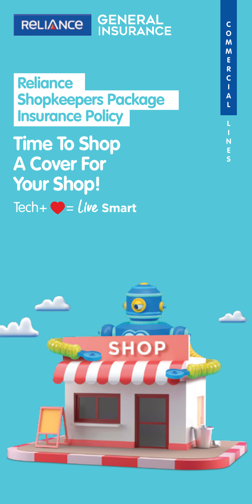### **GENERAL**<br>INSURANCE **RELIANCE**

**Reliance Shopkeepers Package Insurance Policy**

Tech $+ \bullet =$ **Time To Shop A Cover For Your Shop!**

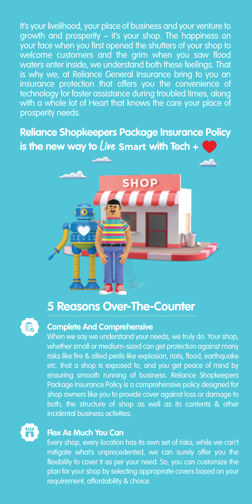It's your livelihood, your place of business and your venture to growth and prosperity – it's your shop. The happiness on your face when you first opened the shutters of your shop to welcome customers and the grim when you saw flood waters enter inside, we understand both these feelings. That is why we, at Reliance General Insurance bring to you an insurance protection that offers you the convenience of technology for faster assistance during troubled times, along with a whole lot of Heart that knows the care your place of prosperity needs.

**Reliance Shopkeepers Package Insurance Policy** is the new way to  $\ell$ *ive* Smart with Tech +  $\ell$ 

# **5 Reasons Over-The-Counter**



#### **Complete And Comprehensive**

When we say we understand your needs, we truly do. Your shop, whether small or medium-sized can get protection against many risks like fire & allied perils like explosion, riots, flood, earthquake etc. that a shop is exposed to, and you get peace of mind by ensuring smooth running of business. Reliance Shopkeepers Package Insurance Policy is a comprehensive policy designed for shop owners like you to provide cover against loss or damage to both, the structure of shop as well as its contents & other incidental business activities.



#### **Flex As Much You Can**

Every shop, every location has its own set of risks, while we can't mitigate what's unprecedented, we can surely offer you the flexibility to cover it as per your need. So, you can customize the plan for your shop by selecting appropriate covers based on your requirement, affordability & choice.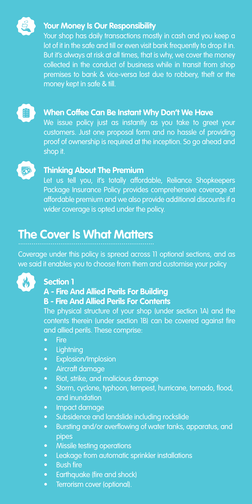

#### **Your Money Is Our Responsibility**

Your shop has daily transactions mostly in cash and you keep a lot of it in the safe and till or even visit bank frequently to drop it in. But it's always at risk at all times, that is why, we cover the money collected in the conduct of business while in transit from shop premises to bank & vice-versa lost due to robbery, theft or the money kept in safe & till.



#### **When Coffee Can Be Instant Why Don't We Have**

We issue policy just as instantly as you take to greet your customers. Just one proposal form and no hassle of providing proof of ownership is required at the inception. So go ahead and shop it.



#### **Thinking About The Premium**

Let us tell you, it's totally affordable, Reliance Shopkeepers Package Insurance Policy provides comprehensive coverage at affordable premium and we also provide additional discounts if a wider coverage is opted under the policy.

### **The Cover Is What Matters**

Coverage under this policy is spread across 11 optional sections, and as we said it enables you to choose from them and customise your policy



#### **Section 1**

#### **A - Fire And Allied Perils For Building**

#### **B - Fire And Allied Perils For Contents**

The physical structure of your shop (under section 1A) and the contents therein (under section 1B) can be covered against fire and allied perils. These comprise:

- Fire
- Lightning
- Explosion/Implosion
- Aircraft damage
- Riot, strike, and malicious damage
- Storm, cyclone, typhoon, tempest, hurricane, tornado, flood, and inundation
- Impact damage
- Subsidence and landslide including rockslide
- Bursting and/or overflowing of water tanks, apparatus, and pipes
- Missile testing operations
- Leakage from automatic sprinkler installations
- Bush fire
- Earthquake (fire and shock)
- Terrorism cover (optional).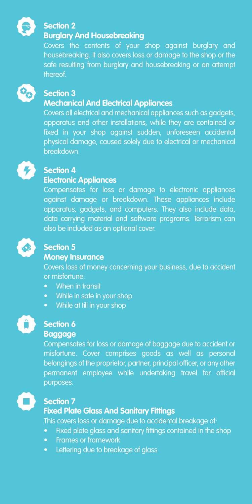

#### **Section 2**

#### **Burglary And Housebreaking**

Covers the contents of your shop against burglary and housebreaking. It also covers loss or damage to the shop or the safe resulting from burglary and housebreaking or an attempt thereof.



#### **Section 3**

#### **Mechanical And Electrical Appliances**

Covers all electrical and mechanical appliances such as gadgets, apparatus and other installations, while they are contained or fixed in your shop against sudden, unforeseen accidental physical damage, caused solely due to electrical or mechanical breakdown.

#### **Section 4**

#### **Electronic Appliances**

Compensates for loss or damage to electronic appliances against damage or breakdown. These appliances include apparatus, gadgets, and computers. They also include data, data carrying material and software programs. Terrorism can also be included as an optional cover.



#### **Section 5**

#### **Money Insurance**

Covers loss of money concerning your business, due to accident or misfortune:

- When in transit
- While in safe in your shop
- While at till in your shop



#### **Section 6 Baggage**

Compensates for loss or damage of baggage due to accident or misfortune. Cover comprises goods as well as personal belongings of the proprietor, partner, principal officer, or any other permanent employee while undertaking travel for official purposes.



#### **Section 7**

#### **Fixed Plate Glass And Sanitary Fittings**

This covers loss or damage due to accidental breakage of:

- Fixed plate glass and sanitary fittings contained in the shop
- Frames or framework
- Lettering due to breakage of glass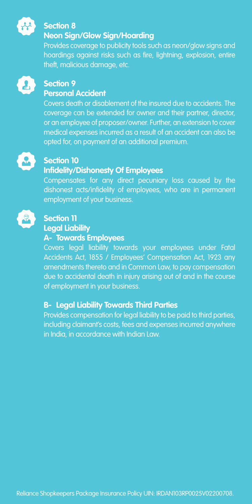

#### **Section 8**

#### **Neon Sign/Glow Sign/Hoarding**

Provides coverage to publicity tools such as neon/glow signs and hoardings against risks such as fire, lightning, explosion, entire theft, malicious damage, etc.



#### **Section 9**

#### **Personal Accident**

Covers death or disablement of the insured due to accidents. The coverage can be extended for owner and their partner, director, or an employee of proposer/owner. Further, an extension to cover medical expenses incurred as a result of an accident can also be opted for, on payment of an additional premium.



#### **Section 10 Infidelity/Dishonesty Of Employees**

Compensates for any direct pecuniary loss caused by the dishonest acts/infidelity of employees, who are in permanent employment of your business.



#### **Section 11 Legal Liability**

#### **A- Towards Employees**

Covers legal liability towards your employees under Fatal Accidents Act, 1855 / Employees' Compensation Act, 1923 any amendments thereto and in Common Law, to pay compensation due to accidental death in injury arising out of and in the course of employment in your business.

#### **B- Legal Liability Towards Third Parties**

Provides compensation for legal liability to be paid to third parties, including claimant's costs, fees and expenses incurred anywhere in India, in accordance with Indian Law.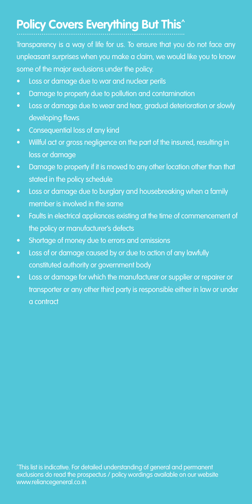### **Policy Covers Everything But This^**

Transparency is a way of life for us. To ensure that you do not face any unpleasant surprises when you make a claim, we would like you to know some of the major exclusions under the policy.

- Loss or damage due to war and nuclear perils
- Damage to property due to pollution and contamination
- Loss or damage due to wear and tear, gradual deterioration or slowly developing flaws
- Consequential loss of any kind
- Willful act or gross negligence on the part of the insured, resulting in loss or damage
- Damage to property if it is moved to any other location other than that stated in the policy schedule
- Loss or damage due to burglary and housebreaking when a family member is involved in the same
- Faults in electrical appliances existing at the time of commencement of the policy or manufacturer's defects
- Shortage of money due to errors and omissions
- Loss of or damage caused by or due to action of any lawfully constituted authority or government body
- Loss or damage for which the manufacturer or supplier or repairer or transporter or any other third party is responsible either in law or under a contract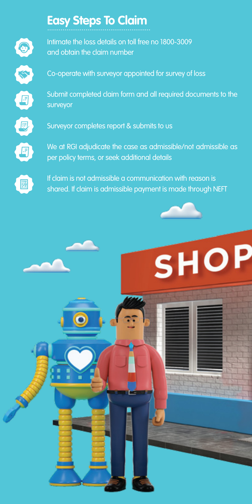

Ø

## **Easy Steps To Claim** ......................................................

Intimate the loss details on toll free no 1800-3009 and obtain the claim number

Co-operate with surveyor appointed for survey of loss

Submit completed claim form and all required documents to the surveyor

Surveyor completes report & submits to us

We at RGI adjudicate the case as admissible/not admissible as per policy terms, or seek additional details

If claim is not admissible a communication with reason is shared. If claim is admissible payment is made through NEFT